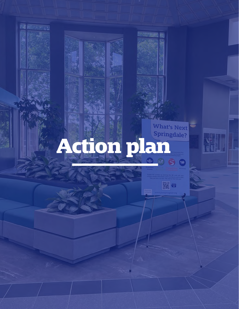

繁日

**READERS**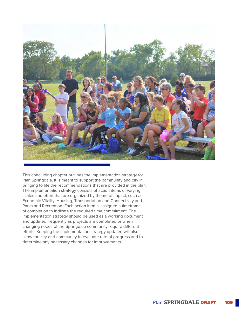

This concluding chapter outlines the implementation strategy for Plan Springdale. It is meant to support the community and city in bringing to life the recommendations that are provided in the plan. The implementation strategy consists of action items of varying scales and effort that are organized by theme of impact, such as Economic Vitality, Housing, Transportation and Connectivity and Parks and Recreation. Each action item is assigned a timeframe of completion to indicate the required time commitment. The Implementation strategy should be used as a working document and updated frequently as projects are completed or when changing needs of the Springdale community require different efforts. Keeping the implementation strategy updated will also allow the city and community to evaluate rate of progress and to determine any necessary changes for improvements.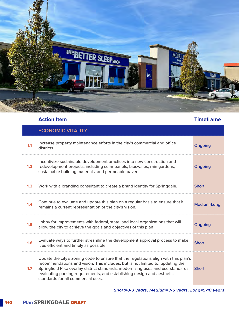

|     | <b>ECONOMIC VITALITY</b>                                                                                                                                                                                                                                                                                                                                                  |              |
|-----|---------------------------------------------------------------------------------------------------------------------------------------------------------------------------------------------------------------------------------------------------------------------------------------------------------------------------------------------------------------------------|--------------|
| 1.1 | Increase property maintenance efforts in the city's commercial and office<br>districts.                                                                                                                                                                                                                                                                                   | Ongoing      |
| 1.2 | Incentivize sustainable development practices into new construction and<br>redevelopment projects, including solar panels, bioswales, rain gardens,<br>sustainable building materials, and permeable pavers.                                                                                                                                                              | Ongoing      |
| 1.3 | Work with a branding consultant to create a brand identity for Springdale.                                                                                                                                                                                                                                                                                                | <b>Short</b> |
| 1.4 | Continue to evaluate and update this plan on a regular basis to ensure that it<br>remains a current representation of the city's vision.                                                                                                                                                                                                                                  | Medium-Long  |
| 1.5 | Lobby for improvements with federal, state, and local organizations that will<br>allow the city to achieve the goals and objectives of this plan                                                                                                                                                                                                                          | Ongoing      |
| 1.6 | Evaluate ways to further streamline the development approval process to make<br>it as efficient and timely as possible.                                                                                                                                                                                                                                                   | <b>Short</b> |
| 1.7 | Update the city's zoning code to ensure that the regulations align with this plan's<br>recommendations and vision. This includes, but is not limited to, updating the<br>Springfield Pike overlay district standards, modernizing uses and use-standards,<br>evaluating parking requirements, and establishing design and aesthetic<br>standards for all commercial uses. | <b>Short</b> |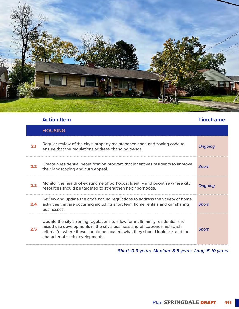

|     | <b>Action Item</b>                                                                                                                                                                                                                                                                | <b>Timeframe</b> |
|-----|-----------------------------------------------------------------------------------------------------------------------------------------------------------------------------------------------------------------------------------------------------------------------------------|------------------|
|     | <b>HOUSING</b>                                                                                                                                                                                                                                                                    |                  |
| 2.1 | Regular review of the city's property maintenance code and zoning code to<br>ensure that the regulations address changing trends.                                                                                                                                                 | <b>Ongoing</b>   |
| 2.2 | Create a residential beautification program that incentives residents to improve<br>their landscaping and curb appeal.                                                                                                                                                            | <b>Short</b>     |
| 2.3 | Monitor the health of existing neighborhoods. Identify and prioritize where city<br>resources should be targeted to strengthen neighborhoods.                                                                                                                                     | Ongoing          |
| 2.4 | Review and update the city's zoning regulations to address the variety of home<br>activities that are occurring including short term home rentals and car sharing<br>businesses.                                                                                                  | <b>Short</b>     |
| 2.5 | Update the city's zoning regulations to allow for multi-family residential and<br>mixed-use developments in the city's business and office zones. Establish<br>criteria for where these should be located, what they should look like, and the<br>character of such developments. | <b>Short</b>     |

*Short=0-3 years, Medium=3-5 years, Long=5-10 years*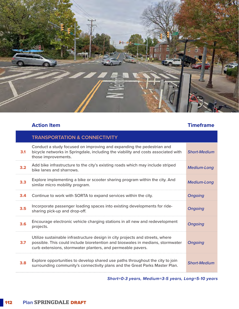

## **Action Item Timeframe**

|     | <b>TRANSPORTATION &amp; CONNECTIVITY</b>                                                                                                                                                                                       |                     |
|-----|--------------------------------------------------------------------------------------------------------------------------------------------------------------------------------------------------------------------------------|---------------------|
| 3.1 | Conduct a study focused on improving and expanding the pedestrian and<br>bicycle networks in Springdale, including the viability and costs associated with<br>those improvements.                                              | <b>Short-Medium</b> |
| 3.2 | Add bike infrastructure to the city's existing roads which may include striped<br>bike lanes and sharrows.                                                                                                                     | <b>Medium-Long</b>  |
| 3.3 | Explore implementing a bike or scooter sharing program within the city. And<br>similar micro mobility program.                                                                                                                 | <b>Medium-Long</b>  |
| 3.4 | Continue to work with SORTA to expand services within the city.                                                                                                                                                                | <b>Ongoing</b>      |
| 3.5 | Incorporate passenger loading spaces into existing developments for ride-<br>sharing pick-up and drop-off.                                                                                                                     | <b>Ongoing</b>      |
| 3.6 | Encourage electronic vehicle charging stations in all new and redevelopment<br>projects.                                                                                                                                       | <b>Ongoing</b>      |
| 3.7 | Utilize sustainable infrastructure design in city projects and streets, where<br>possible. This could include bioretention and bioswales in medians, stormwater<br>curb extensions, stormwater planters, and permeable pavers. | <b>Ongoing</b>      |
| 3.8 | Explore opportunities to develop shared use paths throughout the city to join<br>surrounding community's connectivity plans and the Great Parks Master Plan.                                                                   | <b>Short-Medium</b> |

*Short=0-3 years, Medium=3-5 years, Long=5-10 years*